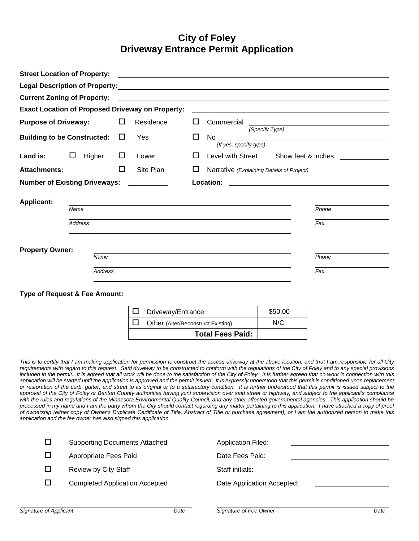## **City of Foley Driveway Entrance Permit Application**

|                                                                                                                                                        | <b>Street Location of Property:</b>      |        |                                                         |    |                                                                                                                     |                     |  |
|--------------------------------------------------------------------------------------------------------------------------------------------------------|------------------------------------------|--------|---------------------------------------------------------|----|---------------------------------------------------------------------------------------------------------------------|---------------------|--|
|                                                                                                                                                        |                                          |        |                                                         |    |                                                                                                                     |                     |  |
|                                                                                                                                                        | <b>Current Zoning of Property:</b>       |        |                                                         |    | <u> 1989 - Johann John Stone, markin film yn y brening yn y brening yn y brening yn y brening yn y brening yn y</u> |                     |  |
|                                                                                                                                                        |                                          |        | <b>Exact Location of Proposed Driveway on Property:</b> |    |                                                                                                                     |                     |  |
| <b>Purpose of Driveway:</b>                                                                                                                            |                                          | □      | Residence                                               | ப  | Commercial                                                                                                          |                     |  |
| <b>Building to be Constructed:</b>                                                                                                                     |                                          | $\Box$ | Yes                                                     | □  | (Specify Type)<br>No l<br>(If yes, specify type)                                                                    |                     |  |
| Land is:                                                                                                                                               | $\Box$<br>Higher                         | $\Box$ | Lower                                                   | ΙI | Level with Street                                                                                                   | Show feet & inches: |  |
| <b>Attachments:</b>                                                                                                                                    |                                          | П      | Site Plan                                               | ப  | Narrative (Explaining Details of Project)                                                                           |                     |  |
| <b>Number of Existing Driveways:</b>                                                                                                                   |                                          |        |                                                         |    | Location:                                                                                                           |                     |  |
| <b>Applicant:</b><br>and the control of the control of the control of the control of the control of the control of the control of the<br>Phone<br>Name |                                          |        |                                                         |    |                                                                                                                     |                     |  |
| Address                                                                                                                                                |                                          |        |                                                         |    |                                                                                                                     | Fax                 |  |
| <b>Property Owner:</b><br>Phone<br>Name                                                                                                                |                                          |        |                                                         |    |                                                                                                                     |                     |  |
|                                                                                                                                                        | <b>Address</b>                           |        |                                                         |    |                                                                                                                     | Fax                 |  |
|                                                                                                                                                        | <b>Type of Request &amp; Fee Amount:</b> |        |                                                         |    |                                                                                                                     |                     |  |
|                                                                                                                                                        |                                          |        | □<br>Driveway/Entrance                                  |    |                                                                                                                     | \$50.00             |  |
|                                                                                                                                                        |                                          |        | $\Box$<br><b>Other</b> (Alter/Reconstruct Existing)     |    |                                                                                                                     | N/C                 |  |

*This is to certify that I am making application for permission to construct the access driveway at the above location, and that I am responsible for all City requirements with regard to this request. Said driveway to be constructed to conform with the regulations of the City of Foley and to any special provisions included in the permit. It is agreed that all work will be done to the satisfaction of the City of Foley. It is further agreed that no work in connection with this application will be started until the application is approved and the permit issued. It is expressly understood that this permit is conditioned upon replacement or restoration of the curb, gutter, and street to its original or to a satisfactory condition. It is further understood that this permit is issued subject to the approval of the City of Foley or Benton County authorities having joint supervision over said street or highway, and subject to the applicant's compliance with the rules and regulations of the Minnesota Environmental Quality Council, and any other affected governmental agencies. This application should be processed in my name and I am the party whom the City should contact regarding any matter pertaining to this application. I have attached a copy of proof of ownership (either copy of Owner's Duplicate Certificate of Title, Abstract of Title or purchase agreement), or I am the authorized person to make this application and the fee owner has also signed this application.*

**Total Fees Paid:**

| □ | <b>Supporting Documents Attached</b>  | <b>Application Filed:</b>  |
|---|---------------------------------------|----------------------------|
| □ | Appropriate Fees Paid                 | Date Fees Paid:            |
| □ | <b>Review by City Staff</b>           | Staff initials:            |
| □ | <b>Completed Application Accepted</b> | Date Application Accepted: |
|   |                                       |                            |